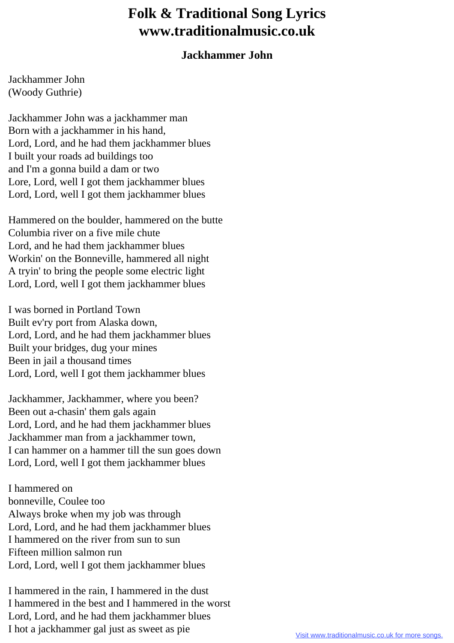## **Folk & Traditional Song Lyrics www.traditionalmusic.co.uk**

## **Jackhammer John**

Jackhammer John (Woody Guthrie)

Jackhammer John was a jackhammer man Born with a jackhammer in his hand, Lord, Lord, and he had them jackhammer blues I built your roads ad buildings too and I'm a gonna build a dam or two Lore, Lord, well I got them jackhammer blues Lord, Lord, well I got them jackhammer blues

Hammered on the boulder, hammered on the butte Columbia river on a five mile chute Lord, and he had them jackhammer blues Workin' on the Bonneville, hammered all night A tryin' to bring the people some electric light Lord, Lord, well I got them jackhammer blues

I was borned in Portland Town Built ev'ry port from Alaska down, Lord, Lord, and he had them jackhammer blues Built your bridges, dug your mines Been in jail a thousand times Lord, Lord, well I got them jackhammer blues

Jackhammer, Jackhammer, where you been? Been out a-chasin' them gals again Lord, Lord, and he had them jackhammer blues Jackhammer man from a jackhammer town, I can hammer on a hammer till the sun goes down Lord, Lord, well I got them jackhammer blues

I hammered on bonneville, Coulee too Always broke when my job was through Lord, Lord, and he had them jackhammer blues I hammered on the river from sun to sun Fifteen million salmon run Lord, Lord, well I got them jackhammer blues

I hammered in the rain, I hammered in the dust I hammered in the best and I hammered in the worst Lord, Lord, and he had them jackhammer blues I hot a jackhammer gal just as sweet as pie